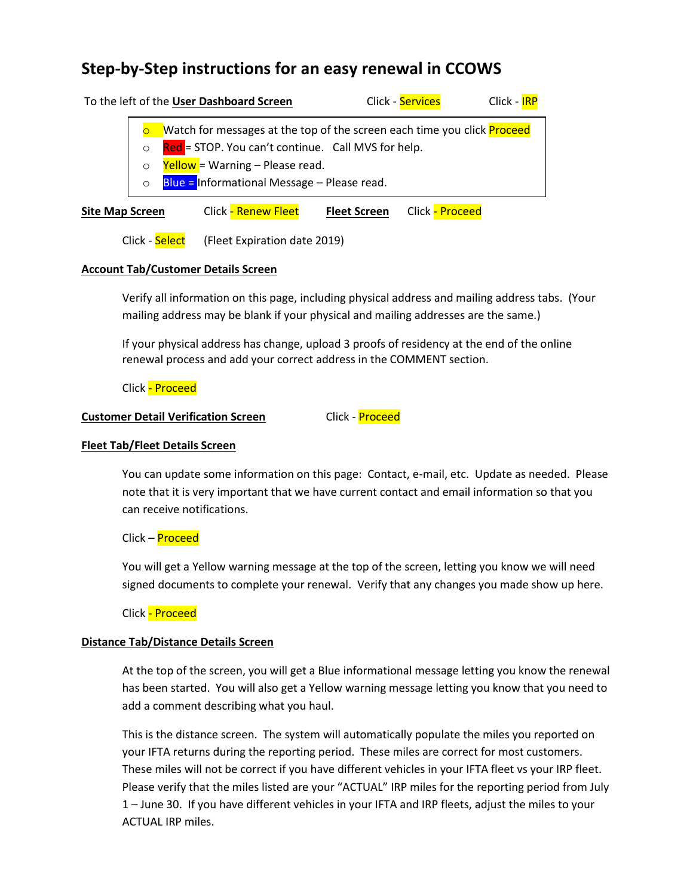# **Step-by-Step instructions for an easy renewal in CCOWS**

| To the left of the User Dashboard Screen |                                                                                                                                      |                                                                                                |                     | Click - Services | Click - IRP |
|------------------------------------------|--------------------------------------------------------------------------------------------------------------------------------------|------------------------------------------------------------------------------------------------|---------------------|------------------|-------------|
|                                          | Watch for messages at the top of the screen each time you click <b>Proceed</b><br>Red = STOP. You can't continue. Call MVS for help. |                                                                                                |                     |                  |             |
|                                          |                                                                                                                                      | $\text{Yellow}$ = Warning – Please read.<br><b>Blue = Informational Message - Please read.</b> |                     |                  |             |
| <b>Site Map Screen</b>                   |                                                                                                                                      | <b>Click - Renew Fleet</b>                                                                     | <b>Fleet Screen</b> | Click - Proceed  |             |

Click - Select (Fleet Expiration date 2019)

### **Account Tab/Customer Details Screen**

Verify all information on this page, including physical address and mailing address tabs. (Your mailing address may be blank if your physical and mailing addresses are the same.)

If your physical address has change, upload 3 proofs of residency at the end of the online renewal process and add your correct address in the COMMENT section.

Click - Proceed

## **Customer Detail Verification Screen** Click - **Proceed**

## **Fleet Tab/Fleet Details Screen**

You can update some information on this page: Contact, e-mail, etc. Update as needed. Please note that it is very important that we have current contact and email information so that you can receive notifications.

Click – Proceed

You will get a Yellow warning message at the top of the screen, letting you know we will need signed documents to complete your renewal. Verify that any changes you made show up here.

Click - Proceed

### **Distance Tab/Distance Details Screen**

At the top of the screen, you will get a Blue informational message letting you know the renewal has been started. You will also get a Yellow warning message letting you know that you need to add a comment describing what you haul.

This is the distance screen. The system will automatically populate the miles you reported on your IFTA returns during the reporting period. These miles are correct for most customers. These miles will not be correct if you have different vehicles in your IFTA fleet vs your IRP fleet. Please verify that the miles listed are your "ACTUAL" IRP miles for the reporting period from July 1 – June 30. If you have different vehicles in your IFTA and IRP fleets, adjust the miles to your ACTUAL IRP miles.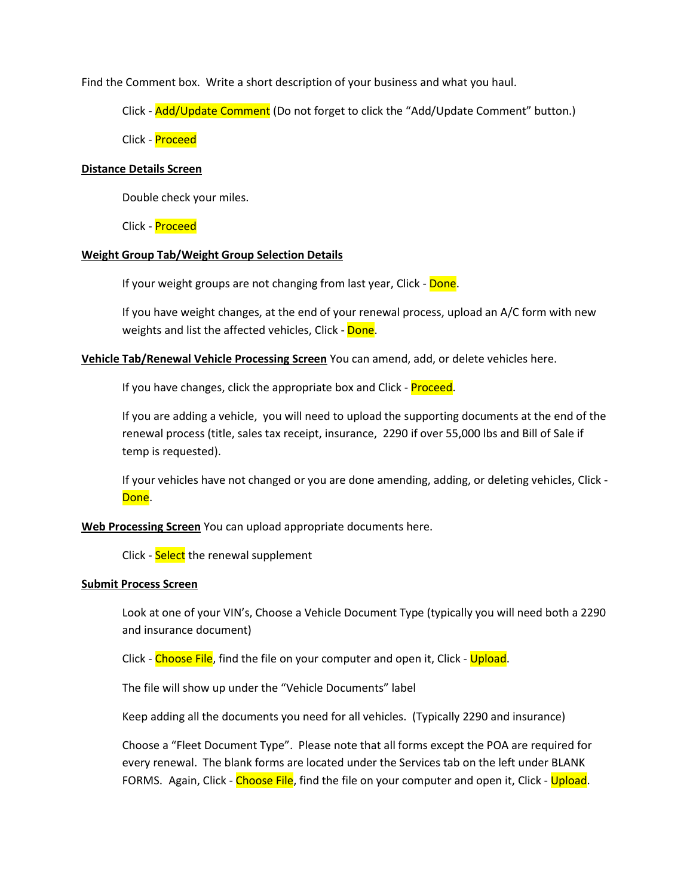Find the Comment box. Write a short description of your business and what you haul.

Click - Add/Update Comment (Do not forget to click the "Add/Update Comment" button.)

Click - Proceed

#### **Distance Details Screen**

Double check your miles.

Click - Proceed

#### **Weight Group Tab/Weight Group Selection Details**

If your weight groups are not changing from last year, Click - Done.

If you have weight changes, at the end of your renewal process, upload an A/C form with new weights and list the affected vehicles, Click - Done.

**Vehicle Tab/Renewal Vehicle Processing Screen** You can amend, add, or delete vehicles here.

If you have changes, click the appropriate box and Click - **Proceed**.

If you are adding a vehicle, you will need to upload the supporting documents at the end of the renewal process (title, sales tax receipt, insurance, 2290 if over 55,000 lbs and Bill of Sale if temp is requested).

If your vehicles have not changed or you are done amending, adding, or deleting vehicles, Click - Done.

**Web Processing Screen** You can upload appropriate documents here.

Click - Select the renewal supplement

#### **Submit Process Screen**

Look at one of your VIN's, Choose a Vehicle Document Type (typically you will need both a 2290 and insurance document)

Click - Choose File, find the file on your computer and open it, Click - Upload.

The file will show up under the "Vehicle Documents" label

Keep adding all the documents you need for all vehicles. (Typically 2290 and insurance)

Choose a "Fleet Document Type". Please note that all forms except the POA are required for every renewal. The blank forms are located under the Services tab on the left under BLANK FORMS. Again, Click - Choose File, find the file on your computer and open it, Click - Upload.